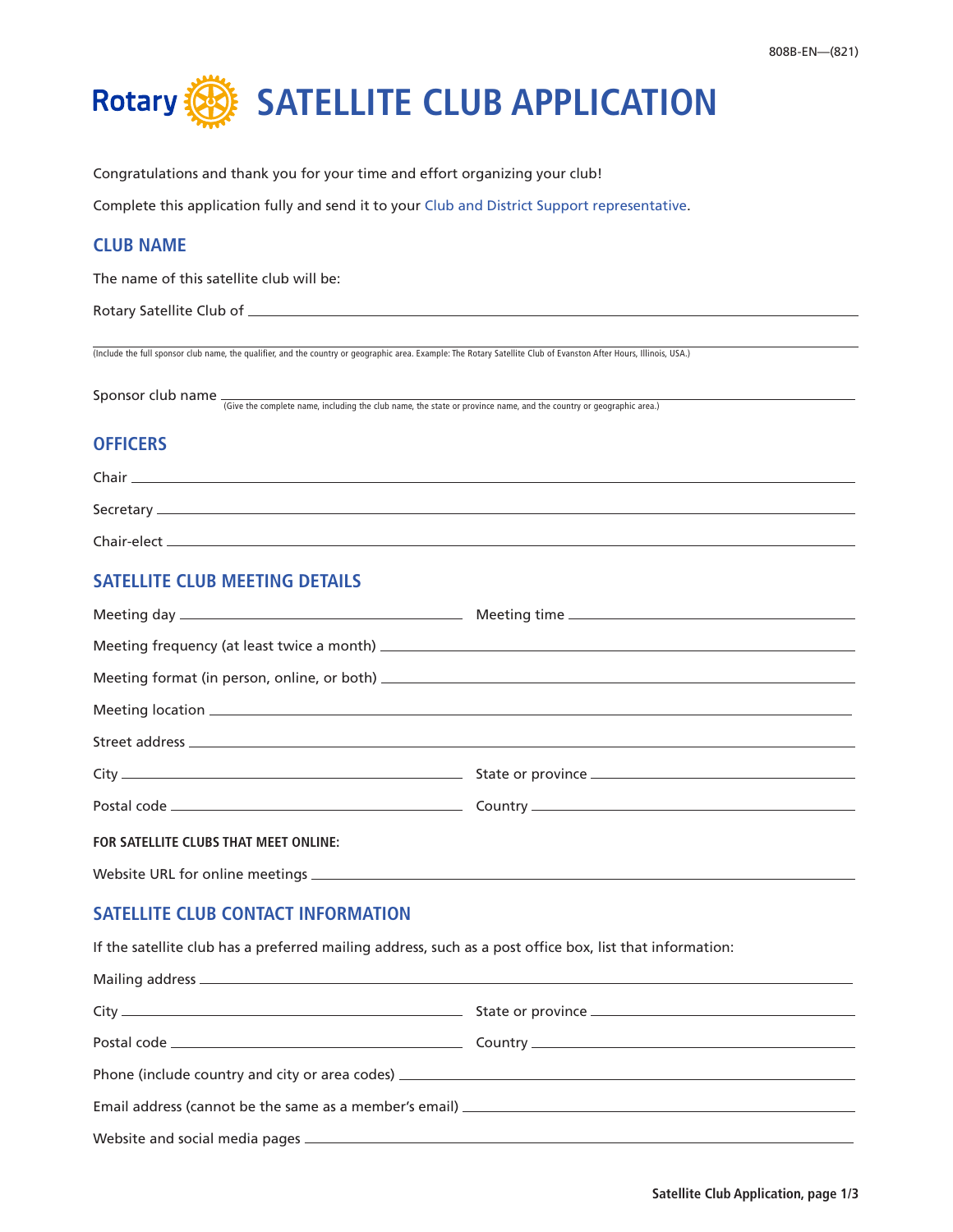

Congratulations and thank you for your time and effort organizing your club!

Complete this application fully and send it to your [Club and District Support representative](https://www.rotary.org/en/contact/representatives).

## **CLUB NAME**

The name of this satellite club will be:

Rotary Satellite Club of

(Include the full sponsor club name, the qualifier, and the country or geographic area. Example: The Rotary Satellite Club of Evanston After Hours, Illinois, USA.)

Sponsor club name  $\frac{1}{10}$  (Give the complete name, including the club name, the state or province name, and the country or geographic area.)

## **OFFICERS**

| Chair        |  |
|--------------|--|
|              |  |
| Secretary_   |  |
|              |  |
| Chair-elect_ |  |
|              |  |

# **SATELLITE CLUB MEETING DETAILS**

| FOR SATELLITE CLUBS THAT MEET ONLINE: |  |
|---------------------------------------|--|

Website URL for online meetings \_\_\_\_\_\_\_\_\_

# **SATELLITE CLUB CONTACT INFORMATION**

If the satellite club has a preferred mailing address, such as a post office box, list that information:

| Phone (include country and city or area codes) __________________________________ |  |
|-----------------------------------------------------------------------------------|--|
|                                                                                   |  |
|                                                                                   |  |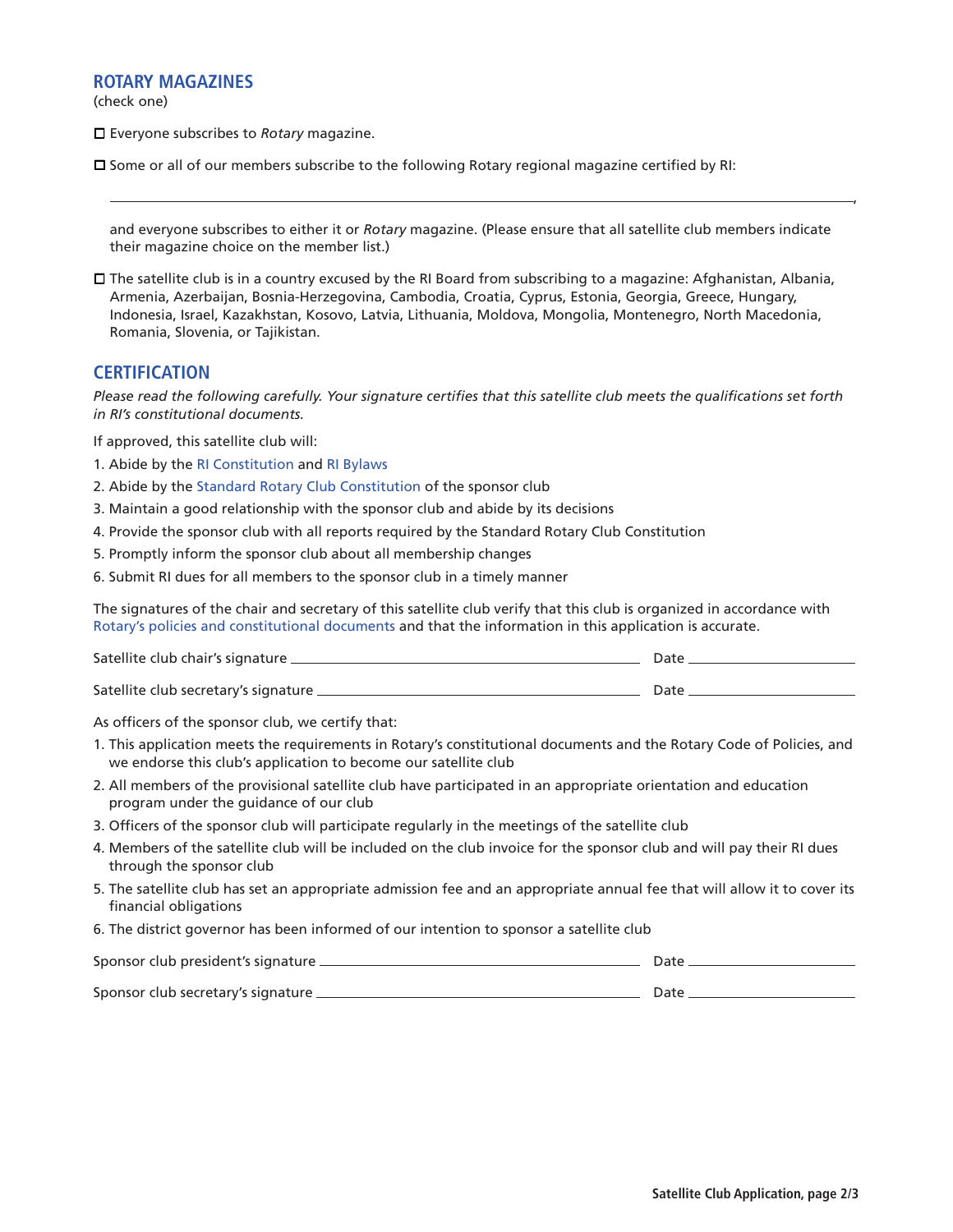#### **ROTARY MAGAZINES**

(check one)

□ Everyone subscribes to *Rotary* magazine.

 $\square$  Some or all of our members subscribe to the following Rotary regional magazine certified by RI:

and everyone subscribes to either it or *Rotary* magazine. (Please ensure that all satellite club members indicate their magazine choice on the member list.)

 $\Box$  The satellite club is in a country excused by the RI Board from subscribing to a magazine: Afghanistan, Albania, Armenia, Azerbaijan, Bosnia-Herzegovina, Cambodia, Croatia, Cyprus, Estonia, Georgia, Greece, Hungary, Indonesia, Israel, Kazakhstan, Kosovo, Latvia, Lithuania, Moldova, Mongolia, Montenegro, North Macedonia, Romania, Slovenia, or Tajikistan.

#### **CERTIFICATION**

*Please read the following carefully. Your signature certifies that this satellite club meets the qualifications set forth in RI's constitutional documents.*

If approved, this satellite club will:

- 1. Abide by the [RI Constitution](https://my.rotary.org/en/document/constitution-rotary-international) and [RI Bylaws](https://my.rotary.org/en/document/bylaws-rotary-international)
- 2. Abide by the [Standard Rotary Club Constitution](https://my.rotary.org/en/document/standard-rotary-club-constitution) of the sponsor club
- 3. Maintain a good relationship with the sponsor club and abide by its decisions
- 4. Provide the sponsor club with all reports required by the Standard Rotary Club Constitution
- 5. Promptly inform the sponsor club about all membership changes
- 6. Submit RI dues for all members to the sponsor club in a timely manner

The signatures of the chair and secretary of this satellite club verify that this club is organized in accordance with [Rotary's policies and constitutional documents](https://my.rotary.org/en/learning-reference/about-rotary/governance-documents) and that the information in this application is accurate.

| Satellite club chair's signature _     | Date |
|----------------------------------------|------|
| Satellite club secretary's signature _ | Date |

As officers of the sponsor club, we certify that:

- 1. This application meets the requirements in Rotary's constitutional documents and the Rotary Code of Policies, and we endorse this club's application to become our satellite club
- 2. All members of the provisional satellite club have participated in an appropriate orientation and education program under the guidance of our club
- 3. Officers of the sponsor club will participate regularly in the meetings of the satellite club
- 4. Members of the satellite club will be included on the club invoice for the sponsor club and will pay their RI dues through the sponsor club
- 5. The satellite club has set an appropriate admission fee and an appropriate annual fee that will allow it to cover its financial obligations
- 6. The district governor has been informed of our intention to sponsor a satellite club

| Sponsor club president's signature _ | Date |
|--------------------------------------|------|
| Sponsor club secretary's signature _ | Date |

,